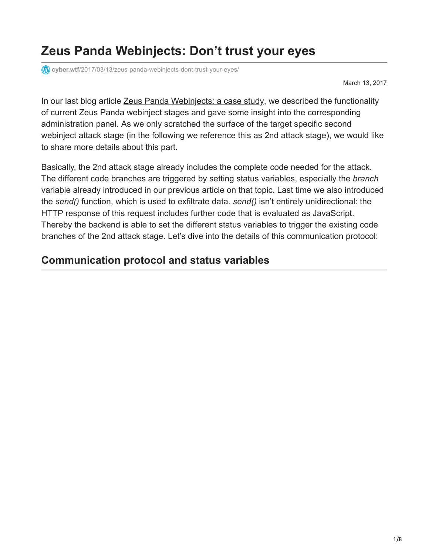# **Zeus Panda Webinjects: Don't trust your eyes**

**cyber.wtf**[/2017/03/13/zeus-panda-webinjects-dont-trust-your-eyes/](https://cyber.wtf/2017/03/13/zeus-panda-webinjects-dont-trust-your-eyes/)

March 13, 2017

In our last blog article [Zeus Panda Webinjects: a case study,](https://cyber.wtf/2017/02/03/zeus-panda-webinjects-a-case-study/) we described the functionality of current Zeus Panda webinject stages and gave some insight into the corresponding administration panel. As we only scratched the surface of the target specific second webinject attack stage (in the following we reference this as 2nd attack stage), we would like to share more details about this part.

Basically, the 2nd attack stage already includes the complete code needed for the attack. The different code branches are triggered by setting status variables, especially the *branch* variable already introduced in our previous article on that topic. Last time we also introduced the *send()* function, which is used to exfiltrate data. *send()* isn't entirely unidirectional: the HTTP response of this request includes further code that is evaluated as JavaScript. Thereby the backend is able to set the different status variables to trigger the existing code branches of the 2nd attack stage. Let's dive into the details of this communication protocol:

## **Communication protocol and status variables**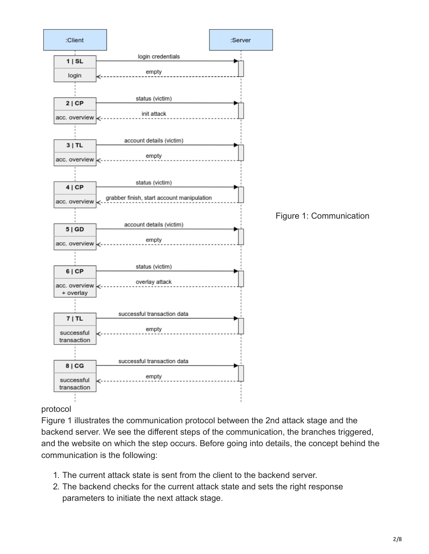

### protocol

Figure 1 illustrates the communication protocol between the 2nd attack stage and the backend server. We see the different steps of the communication, the branches triggered, and the website on which the step occurs. Before going into details, the concept behind the communication is the following:

- 1. The current attack state is sent from the client to the backend server.
- 2. The backend checks for the current attack state and sets the right response parameters to initiate the next attack stage.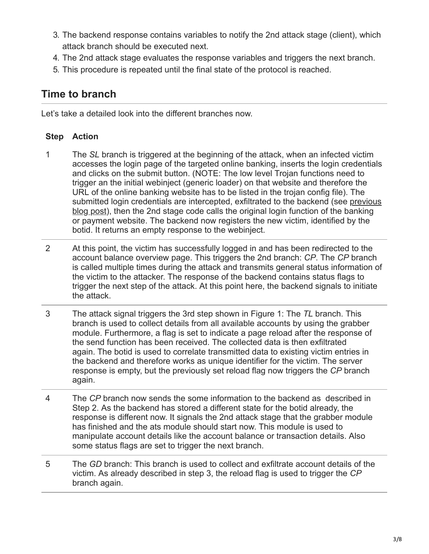- 3. The backend response contains variables to notify the 2nd attack stage (client), which attack branch should be executed next.
- 4. The 2nd attack stage evaluates the response variables and triggers the next branch.
- 5. This procedure is repeated until the final state of the protocol is reached.

## **Time to branch**

Let's take a detailed look into the different branches now.

## **Step Action**

- 1 The *SL* branch is triggered at the beginning of the attack, when an infected victim accesses the login page of the targeted online banking, inserts the login credentials and clicks on the submit button. (NOTE: The low level Trojan functions need to trigger an the initial webinject (generic loader) on that website and therefore the URL of the online banking website has to be listed in the trojan config file). The [submitted login credentials are intercepted, exfiltrated to the backend \(see previous](https://cyber.wtf/2017/02/03/zeus-panda-webinjects-a-case-study/) blog post), then the 2nd stage code calls the original login function of the banking or payment website. The backend now registers the new victim, identified by the botid. It returns an empty response to the webinject.
- 2 At this point, the victim has successfully logged in and has been redirected to the account balance overview page. This triggers the 2nd branch: *CP*. The *CP* branch is called multiple times during the attack and transmits general status information of the victim to the attacker. The response of the backend contains status flags to trigger the next step of the attack. At this point here, the backend signals to initiate the attack.
- 3 The attack signal triggers the 3rd step shown in Figure 1: The *TL* branch. This branch is used to collect details from all available accounts by using the grabber module. Furthermore, a flag is set to indicate a page reload after the response of the send function has been received. The collected data is then exfiltrated again. The botid is used to correlate transmitted data to existing victim entries in the backend and therefore works as unique identifier for the victim. The server response is empty, but the previously set reload flag now triggers the *CP* branch again.
- 4 The *CP* branch now sends the some information to the backend as described in Step 2. As the backend has stored a different state for the botid already, the response is different now. It signals the 2nd attack stage that the grabber module has finished and the ats module should start now. This module is used to manipulate account details like the account balance or transaction details. Also some status flags are set to trigger the next branch.
- 5 The *GD* branch: This branch is used to collect and exfiltrate account details of the victim. As already described in step 3, the reload flag is used to trigger the *CP* branch again.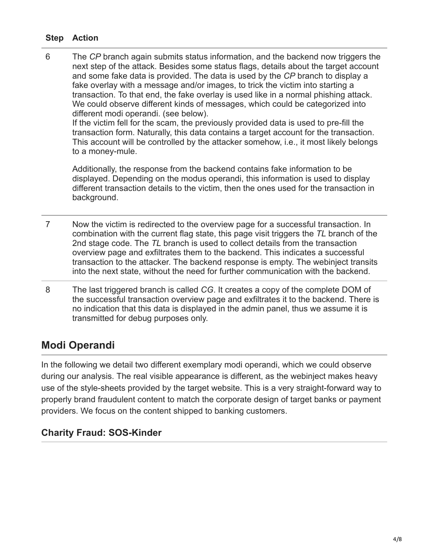### **Step Action**

6 The *CP* branch again submits status information, and the backend now triggers the next step of the attack. Besides some status flags, details about the target account and some fake data is provided. The data is used by the *CP* branch to display a fake overlay with a message and/or images, to trick the victim into starting a transaction. To that end, the fake overlay is used like in a normal phishing attack. We could observe different kinds of messages, which could be categorized into different modi operandi. (see below).

If the victim fell for the scam, the previously provided data is used to pre-fill the transaction form. Naturally, this data contains a target account for the transaction. This account will be controlled by the attacker somehow, i.e., it most likely belongs to a money-mule.

Additionally, the response from the backend contains fake information to be displayed. Depending on the modus operandi, this information is used to display different transaction details to the victim, then the ones used for the transaction in background.

- 7 Now the victim is redirected to the overview page for a successful transaction. In combination with the current flag state, this page visit triggers the *TL* branch of the 2nd stage code. The *TL* branch is used to collect details from the transaction overview page and exfiltrates them to the backend. This indicates a successful transaction to the attacker. The backend response is empty. The webinject transits into the next state, without the need for further communication with the backend.
- 8 The last triggered branch is called *CG*. It creates a copy of the complete DOM of the successful transaction overview page and exfiltrates it to the backend. There is no indication that this data is displayed in the admin panel, thus we assume it is transmitted for debug purposes only.

# **Modi Operandi**

In the following we detail two different exemplary modi operandi, which we could observe during our analysis. The real visible appearance is different, as the webinject makes heavy use of the style-sheets provided by the target website. This is a very straight-forward way to properly brand fraudulent content to match the corporate design of target banks or payment providers. We focus on the content shipped to banking customers.

## **Charity Fraud: SOS-Kinder**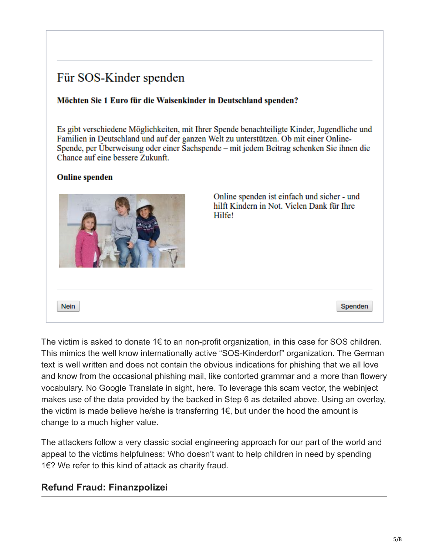# Für SOS-Kinder spenden

#### Möchten Sie 1 Euro für die Waisenkinder in Deutschland spenden?

Es gibt verschiedene Möglichkeiten, mit Ihrer Spende benachteiligte Kinder, Jugendliche und Familien in Deutschland und auf der ganzen Welt zu unterstützen. Ob mit einer Online-Spende, per Überweisung oder einer Sachspende – mit jedem Beitrag schenken Sie ihnen die Chance auf eine bessere Zukunft.

#### **Online spenden**



The victim is asked to donate 1€ to an non-profit organization, in this case for SOS children. This mimics the well know internationally active "SOS-Kinderdorf" organization. The German text is well written and does not contain the obvious indications for phishing that we all love and know from the occasional phishing mail, like contorted grammar and a more than flowery vocabulary. No Google Translate in sight, here. To leverage this scam vector, the webinject makes use of the data provided by the backed in Step 6 as detailed above. Using an overlay, the victim is made believe he/she is transferring  $1 \epsilon$ , but under the hood the amount is change to a much higher value.

The attackers follow a very classic social engineering approach for our part of the world and appeal to the victims helpfulness: Who doesn't want to help children in need by spending 1€? We refer to this kind of attack as charity fraud.

### **Refund Fraud: Finanzpolizei**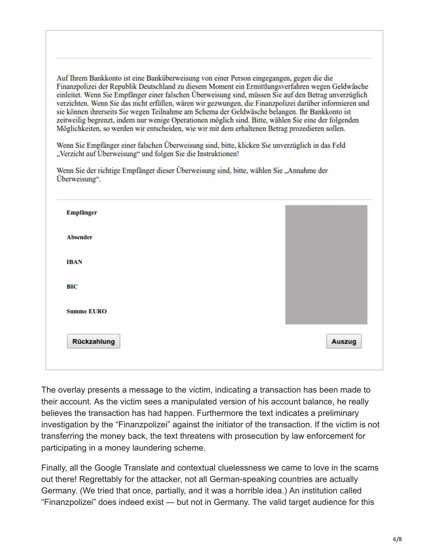Auf Ihrem Bankkonto ist eine Banküberweisung von einer Person eingegangen, gegen die die Finanzpolizei der Republik Deutschland zu diesem Moment ein Ermittlungsverfahren wegen Geldwäsche einleitet. Wenn Sie Empfänger einer falschen Überweisung sind, müssen Sie auf den Betrag unverzüglich verzichten. Wenn Sie das nicht erfüllen, wären wir gezwungen, die Finanzpolizei darüber informieren und sie können ihrerseits Sie wegen Teilnahme am Schema der Geldwäsche belangen. Ihr Bankkonto ist zeitweilig begrenzt, indem nur wenige Operationen möglich sind. Bitte, wählen Sie eine der folgenden Möglichkeiten, so werden wir entscheiden, wie wir mit dem erhaltenen Betrag prozedieren sollen.

Wenn Sie Empfänger einer falschen Überweisung sind, bitte, klicken Sie unverzüglich in das Feld "Verzicht auf Überweisung" und folgen Sie die Instruktionen!

| <b>Auszug</b> |
|---------------|
|               |

Wenn Sie der richtige Empfänger dieser Überweisung sind, bitte, wählen Sie "Annahme der

The overlay presents a message to the victim, indicating a transaction has been made to their account. As the victim sees a manipulated version of his account balance, he really believes the transaction has had happen. Furthermore the text indicates a preliminary investigation by the "Finanzpolizei" against the initiator of the transaction. If the victim is not transferring the money back, the text threatens with prosecution by law enforcement for participating in a money laundering scheme.

Finally, all the Google Translate and contextual cluelessness we came to love in the scams out there! Regrettably for the attacker, not all German-speaking countries are actually Germany. (We tried that once, partially, and it was a horrible idea.) An institution called "Finanzpolizei" does indeed exist — but not in Germany. The valid target audience for this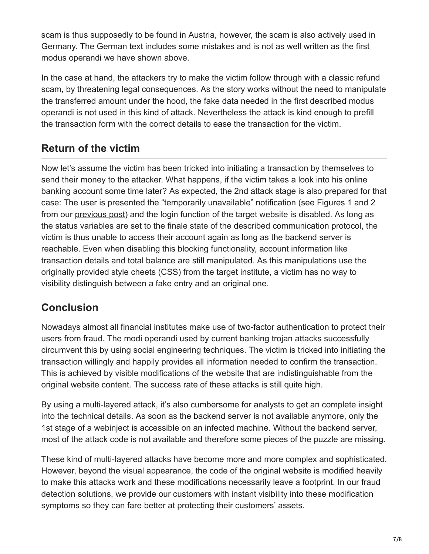scam is thus supposedly to be found in Austria, however, the scam is also actively used in Germany. The German text includes some mistakes and is not as well written as the first modus operandi we have shown above.

In the case at hand, the attackers try to make the victim follow through with a classic refund scam, by threatening legal consequences. As the story works without the need to manipulate the transferred amount under the hood, the fake data needed in the first described modus operandi is not used in this kind of attack. Nevertheless the attack is kind enough to prefill the transaction form with the correct details to ease the transaction for the victim.

# **Return of the victim**

Now let's assume the victim has been tricked into initiating a transaction by themselves to send their money to the attacker. What happens, if the victim takes a look into his online banking account some time later? As expected, the 2nd attack stage is also prepared for that case: The user is presented the "temporarily unavailable" notification (see Figures 1 and 2 from our [previous post](https://cyber.wtf/2017/02/03/zeus-panda-webinjects-a-case-study/)) and the login function of the target website is disabled. As long as the status variables are set to the finale state of the described communication protocol, the victim is thus unable to access their account again as long as the backend server is reachable. Even when disabling this blocking functionality, account information like transaction details and total balance are still manipulated. As this manipulations use the originally provided style cheets (CSS) from the target institute, a victim has no way to visibility distinguish between a fake entry and an original one.

# **Conclusion**

Nowadays almost all financial institutes make use of two-factor authentication to protect their users from fraud. The modi operandi used by current banking trojan attacks successfully circumvent this by using social engineering techniques. The victim is tricked into initiating the transaction willingly and happily provides all information needed to confirm the transaction. This is achieved by visible modifications of the website that are indistinguishable from the original website content. The success rate of these attacks is still quite high.

By using a multi-layered attack, it's also cumbersome for analysts to get an complete insight into the technical details. As soon as the backend server is not available anymore, only the 1st stage of a webinject is accessible on an infected machine. Without the backend server, most of the attack code is not available and therefore some pieces of the puzzle are missing.

These kind of multi-layered attacks have become more and more complex and sophisticated. However, beyond the visual appearance, the code of the original website is modified heavily to make this attacks work and these modifications necessarily leave a footprint. In our fraud detection solutions, we provide our customers with instant visibility into these modification symptoms so they can fare better at protecting their customers' assets.